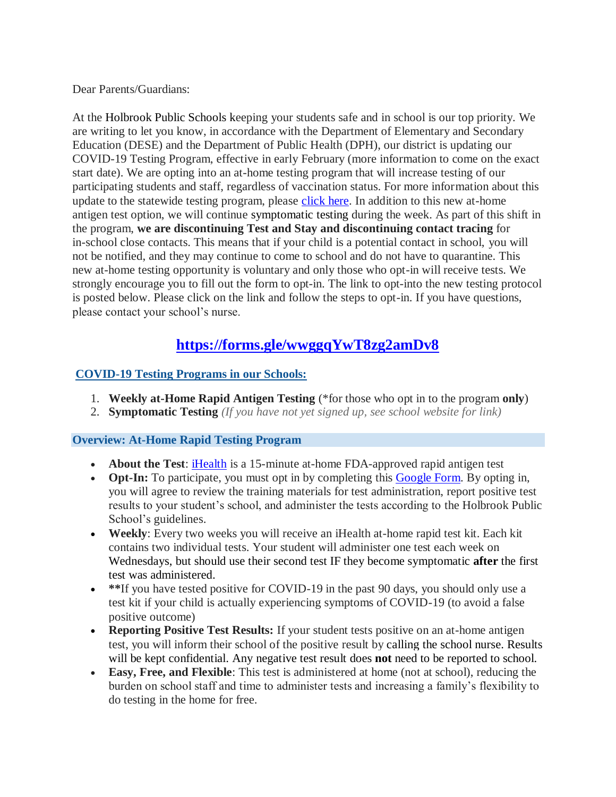Dear Parents/Guardians:

At the Holbrook Public Schools keeping your students safe and in school is our top priority. We are writing to let you know, in accordance with the Department of Elementary and Secondary Education (DESE) and the Department of Public Health (DPH), our district is updating our COVID-19 Testing Program, effective in early February (more information to come on the exact start date). We are opting into an at-home testing program that will increase testing of our participating students and staff, regardless of vaccination status. For more information about this update to the statewide testing program, please [click here.](https://www.doe.mass.edu/covid19/on-desktop/2022-0118new-testing-program.pdf) In addition to this new at-home antigen test option, we will continue symptomatic testing during the week. As part of this shift in the program, **we are discontinuing Test and Stay and discontinuing contact tracing** for in-school close contacts. This means that if your child is a potential contact in school, you will not be notified, and they may continue to come to school and do not have to quarantine. This new at-home testing opportunity is voluntary and only those who opt-in will receive tests. We strongly encourage you to fill out the form to opt-in. The link to opt-into the new testing protocol is posted below. Please click on the link and follow the steps to opt-in. If you have questions, please contact your school's nurse.

# **<https://forms.gle/wwggqYwT8zg2amDv8>**

## **COVID-19 Testing Programs in our Schools:**

- 1. **Weekly at-Home Rapid Antigen Testing** (\*for those who opt in to the program **only**)
- 2. **Symptomatic Testing** *(If you have not yet signed up, see school website for link)*

### **Overview: At-Home Rapid Testing Program**

- **About the Test**: [iHealth](https://ihealthlabs.com/) is a 15-minute at-home FDA-approved rapid antigen test
- Opt-In: To participate, you must opt in by completing this [Google Form.](https://forms.gle/wwggqYwT8zg2amDv8) By opting in, you will agree to review the training materials for test administration, report positive test results to your student's school, and administer the tests according to the Holbrook Public School's guidelines.
- **Weekly**: Every two weeks you will receive an iHealth at-home rapid test kit. Each kit contains two individual tests. Your student will administer one test each week on Wednesdays, but should use their second test IF they become symptomatic **after** the first test was administered.
- \*\*If you have tested positive for COVID-19 in the past 90 days, you should only use a test kit if your child is actually experiencing symptoms of COVID-19 (to avoid a false positive outcome)
- **Reporting Positive Test Results:** If your student tests positive on an at-home antigen test, you will inform their school of the positive result by calling the school nurse. Results will be kept confidential. Any negative test result does **not** need to be reported to school.
- **Easy, Free, and Flexible**: This test is administered at home (not at school), reducing the burden on school staff and time to administer tests and increasing a family's flexibility to do testing in the home for free.